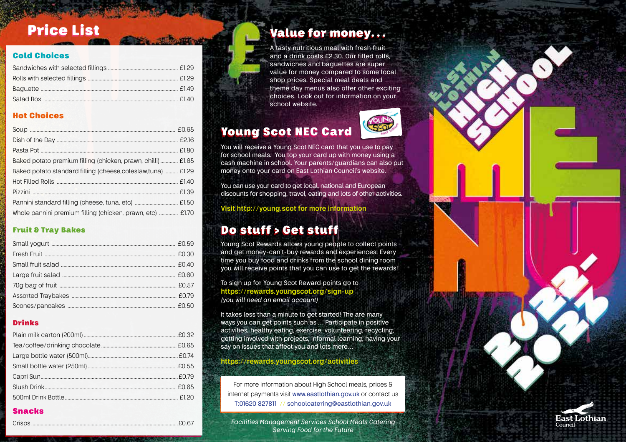#### Cold Choices

#### Hot Choices

| Baked potato premium filling (chicken, prawn, chilli) £1.65   |  |
|---------------------------------------------------------------|--|
| Baked potato standard filling (cheese, coleslaw, tuna)  £1.29 |  |
|                                                               |  |
|                                                               |  |
|                                                               |  |
| Whole pannini premium filling (chicken, prawn, etc)  £1.70    |  |

#### Fruit & Tray Bakes

#### Drinks

#### Snacks

Crisps .............................................................................................................£0.67

## Price List Value for money...

A tasty nutritious meal with fresh fruit and a drink costs £2.30. Our filled rolls, sandwiches and baguettes are super value for money compared to some local shop prices. Special meal deals and theme day menus also offer other exciting choices. Look out for information on your school website.

## Young Scot NEC Card



You can use your card to get local, national and European discounts for shopping, travel, eating and lots of other activities.

**Visit http://young.scot for more information**

## Do stuff > Get stuff

Young Scot Rewards allows young people to collect points and get money-can't-buy rewards and experiences. Every time you buy food and drinks from the school dining room you will receive points that you can use to get the rewards!

To sign up for Young Scot Reward points go to **https://rewards.youngscot.org/sign-up** *(you will need an email account)*

It takes less than a minute to get started! The are many ways you can get points such as … Participate in positive activities, healthy eating, exercise, volunteering, recycling, getting involved with projects, informal learning, having your say on issues that affect you and lots more…

### **https://rewards.youngscot.org/activities**

For more information about High School meals, prices & internet payments visit www.eastlothian.gov.uk or contact us T:01620 827811 // schoolcatering@eastlothian.gov.uk

*Facilities Management Services School Meals Catering Serving Food for the Future*